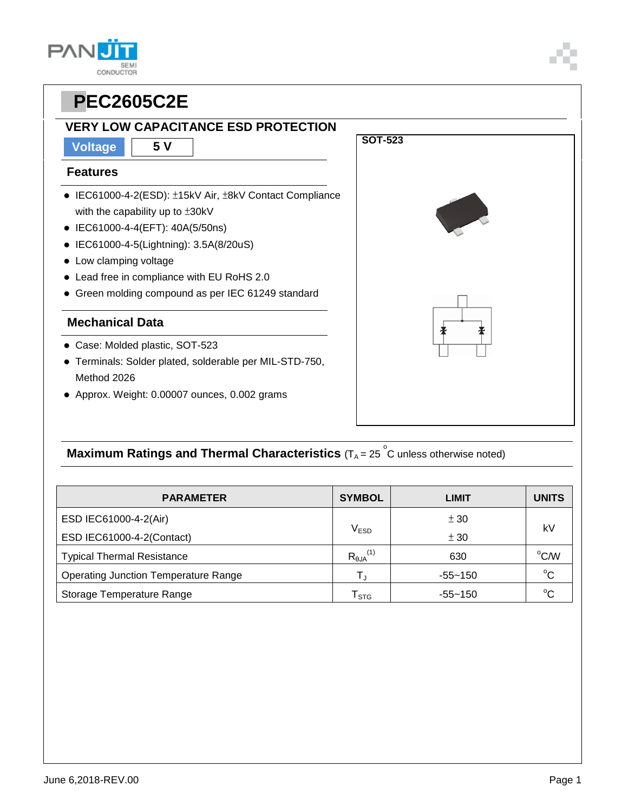**CONDUCTOR** 

### **VERY LOW CAPACITANCE ESD PROTECTION**

**Voltage 5 V**

#### **Features**

**PAN** 

- IEC61000-4-2(ESD): ±15kV Air, ±8kV Contact Compliance with the capability up to ±30kV
- IEC61000-4-4(EFT): 40A(5/50ns)
- IEC61000-4-5(Lightning): 3.5A(8/20uS)
- Low clamping voltage
- Lead free in compliance with EU RoHS 2.0
- Green molding compound as per IEC 61249 standard

#### **Mechanical Data**

- Case: Molded plastic, SOT-523
- Terminals: Solder plated, solderable per MIL-STD-750, Method 2026
- Approx. Weight: 0.00007 ounces, 0.002 grams



**SOT-523** 

### **Maximum Ratings and Thermal Characteristics** (T<sub>A</sub> = 25<sup>°</sup>C unless otherwise noted)

| <b>PARAMETER</b>                            | <b>SYMBOL</b>               | LIMIT       | <b>UNITS</b> |  |
|---------------------------------------------|-----------------------------|-------------|--------------|--|
| ESD IEC61000-4-2(Air)                       |                             | ± 30        | kV           |  |
| ESD IEC61000-4-2(Contact)                   | $V_{ESD}$                   | ± 30        |              |  |
| <b>Typical Thermal Resistance</b>           | $R_{\theta JA}^{(1)}$       | 630         | °C/W         |  |
| <b>Operating Junction Temperature Range</b> | T,                          | $-55 - 150$ | $^{\circ}C$  |  |
| Storage Temperature Range                   | $\mathsf{T}_{\texttt{STG}}$ | $-55 - 150$ | $^{\circ}C$  |  |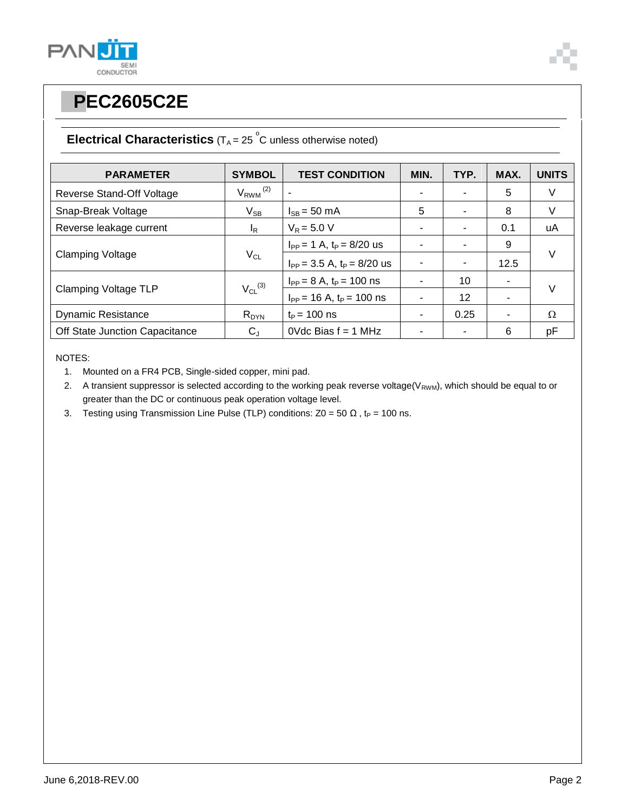



### **Electrical Characteristics**  $(T_A = 25 \degree C$  unless otherwise noted)

| <b>PARAMETER</b>               | <b>SYMBOL</b>            | <b>TEST CONDITION</b>             | MIN. | TYP. | MAX. | <b>UNITS</b> |
|--------------------------------|--------------------------|-----------------------------------|------|------|------|--------------|
| Reverse Stand-Off Voltage      | $V_{RWM}$ <sup>(2)</sup> |                                   |      |      | 5    | V            |
| Snap-Break Voltage             | $V_{SB}$                 | $I_{SB} = 50$ mA                  | 5    |      | 8    | V            |
| Reverse leakage current        | I <sub>R</sub>           | $V_R = 5.0 V$                     |      |      | 0.1  | uA           |
| <b>Clamping Voltage</b>        | $V_{CL}$                 | $I_{PP} = 1$ A, $t_P = 8/20$ us   |      |      | 9    | $\vee$       |
|                                |                          | $I_{PP}$ = 3.5 A, $t_P$ = 8/20 us |      |      | 12.5 |              |
| <b>Clamping Voltage TLP</b>    | $V_{CL}$ <sup>(3)</sup>  | $I_{PP} = 8 A$ , $t_P = 100$ ns   |      | 10   | ٠    |              |
|                                |                          | $I_{PP}$ = 16 A, $t_P$ = 100 ns   |      | 12   |      | $\vee$       |
| <b>Dynamic Resistance</b>      | $R_{DYN}$                | $t_P = 100$ ns                    |      | 0.25 | ۰    | $\Omega$     |
| Off State Junction Capacitance | $C_{J}$                  | $0$ Vdc Bias $f = 1$ MHz          |      |      | 6    | pF           |

NOTES:

1. Mounted on a FR4 PCB, Single-sided copper, mini pad.

2. A transient suppressor is selected according to the working peak reverse voltage( $V_{RWM}$ ), which should be equal to or greater than the DC or continuous peak operation voltage level.

3. Testing using Transmission Line Pulse (TLP) conditions:  $Z0 = 50 \Omega$ , t<sub>P</sub> = 100 ns.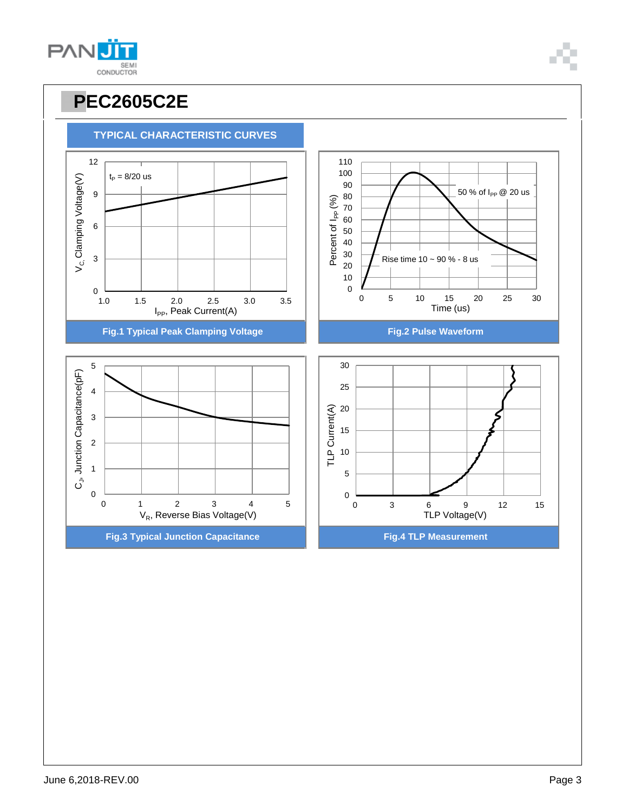

100 110

**TYPICAL CHARACTERISTIC CURVES**

# **PAN** SEMI<br>CONDUCTOR

12

**PPEC2605C2E**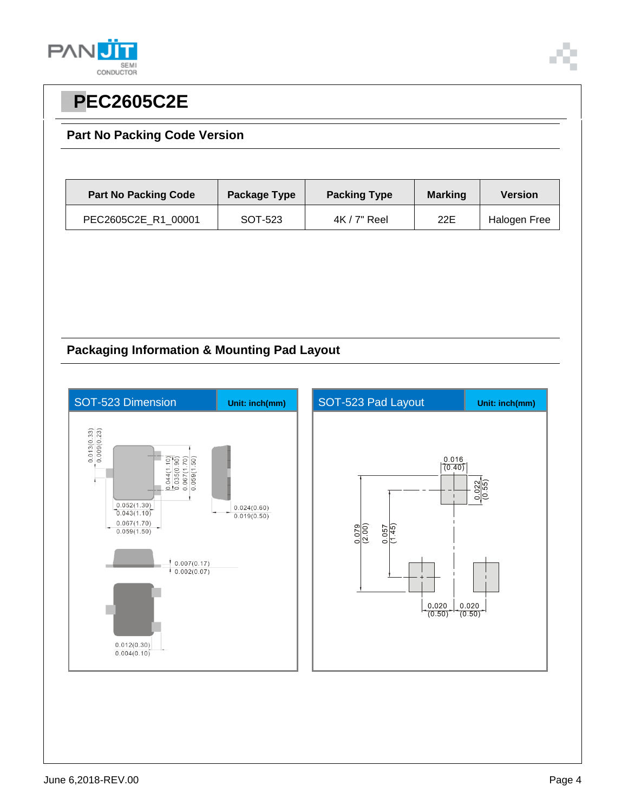

### **Part No Packing Code Version**

| <b>Part No Packing Code</b> | Package Type | <b>Packing Type</b> | <b>Marking</b> | <b>Version</b> |  |
|-----------------------------|--------------|---------------------|----------------|----------------|--|
| PEC2605C2E R1 00001         | SOT-523      | $4K/7"$ Reel        | 22E            | Halogen Free   |  |

### **Packaging Information & Mounting Pad Layout**